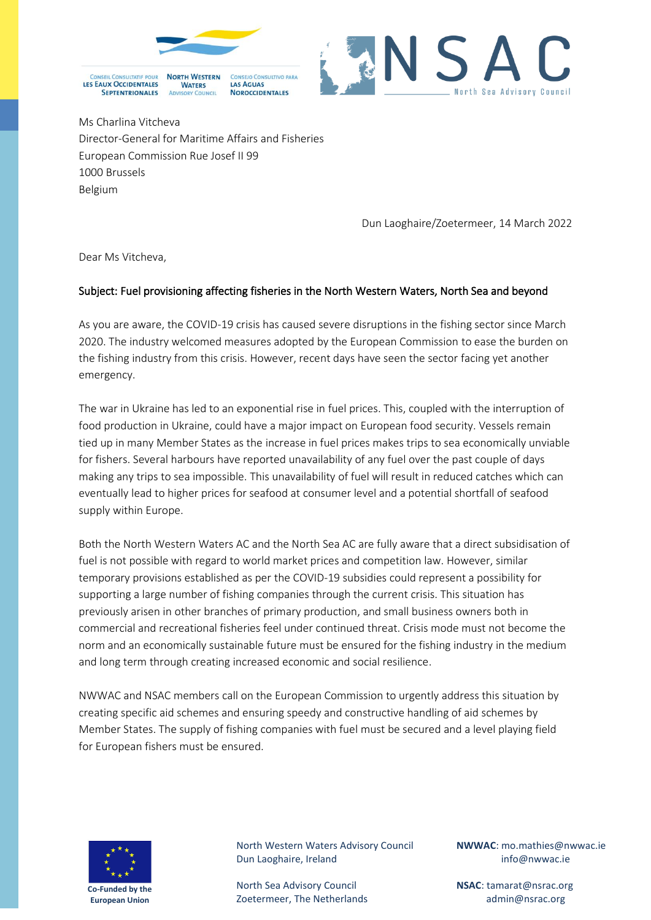



Ms Charlina Vitcheva Director-General for Maritime Affairs and Fisheries European Commission Rue Josef II 99 1000 Brussels Belgium

Dun Laoghaire/Zoetermeer, 14 March 2022

Dear Ms Vitcheva,

## Subject: Fuel provisioning affecting fisheries in the North Western Waters, North Sea and beyond

As you are aware, the COVID-19 crisis has caused severe disruptions in the fishing sector since March 2020. The industry welcomed measures adopted by the European Commission to ease the burden on the fishing industry from this crisis. However, recent days have seen the sector facing yet another emergency.

The war in Ukraine has led to an exponential rise in fuel prices. This, coupled with the interruption of food production in Ukraine, could have a major impact on European food security. Vessels remain tied up in many Member States as the increase in fuel prices makes trips to sea economically unviable for fishers. Several harbours have reported unavailability of any fuel over the past couple of days making any trips to sea impossible. This unavailability of fuel will result in reduced catches which can eventually lead to higher prices for seafood at consumer level and a potential shortfall of seafood supply within Europe.

Both the North Western Waters AC and the North Sea AC are fully aware that a direct subsidisation of fuel is not possible with regard to world market prices and competition law. However, similar temporary provisions established as per the COVID-19 subsidies could represent a possibility for supporting a large number of fishing companies through the current crisis. This situation has previously arisen in other branches of primary production, and small business owners both in commercial and recreational fisheries feel under continued threat. Crisis mode must not become the norm and an economically sustainable future must be ensured for the fishing industry in the medium and long term through creating increased economic and social resilience.

NWWAC and NSAC members call on the European Commission to urgently address this situation by creating specific aid schemes and ensuring speedy and constructive handling of aid schemes by Member States. The supply of fishing companies with fuel must be secured and a level playing field for European fishers must be ensured.



North Western Waters Advisory Council Dun Laoghaire, Ireland

North Sea Advisory Council Zoetermeer, The Netherlands **NWWAC**: mo.mathies@nwwac.ie info@nwwac.ie

**NSAC**: tamarat@nsrac.org admin@nsrac.org